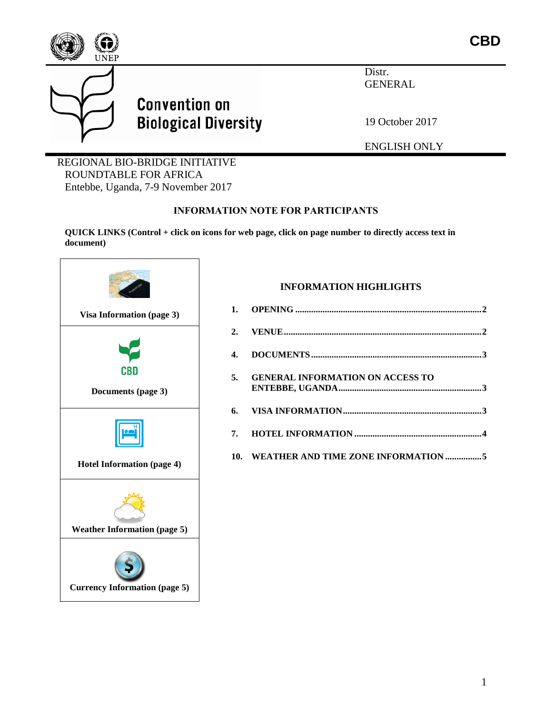

Distr. GENERAL

19 October 2017

ENGLISH ONLY

REGIONAL BIO-BRIDGE INITIATIVE ROUNDTABLE FOR AFRICA Entebbe, Uganda, 7-9 November 2017

**Convention on** 

**Biological Diversity** 

#### **INFORMATION NOTE FOR PARTICIPANTS**

**QUICK LINKS (Control + click on icons for web page, click on page number to directly access text in document)**



#### **INFORMATION HIGHLIGHTS**

| 5. GENERAL INFORMATION ON ACCESS TO     |  |
|-----------------------------------------|--|
|                                         |  |
|                                         |  |
| 10. WEATHER AND TIME ZONE INFORMATION 5 |  |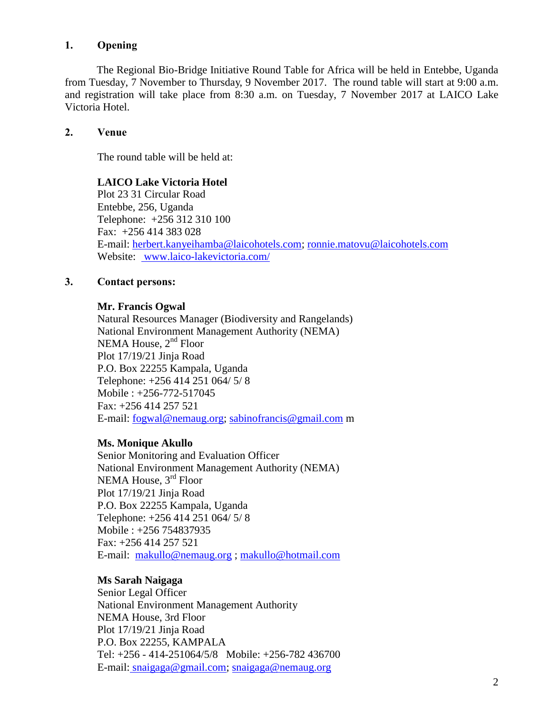# **1. Opening**

The Regional Bio-Bridge Initiative Round Table for Africa will be held in Entebbe, Uganda from Tuesday, 7 November to Thursday, 9 November 2017. The round table will start at 9:00 a.m. and registration will take place from 8:30 a.m. on Tuesday, 7 November 2017 at LAICO Lake Victoria Hotel.

#### **2. Venue**

The round table will be held at:

#### **LAICO Lake Victoria Hotel**

Plot 23 31 Circular Road Entebbe, 256, Uganda Telephone: +256 312 310 100 Fax: +256 414 383 028 E-mail: [herbert.kanyeihamba@laicohotels.com;](mailto:herbert.kanyeihamba@laicohotels.com) [ronnie.matovu@laicohotels.com](mailto:ronnie.matovu@laicohotels.com) Website: [www.laico-lakevictoria.com/](http://www.laico-lakevictoria.com/)

#### **3. Contact persons:**

#### **Mr. Francis Ogwal**

Natural Resources Manager (Biodiversity and Rangelands) National Environment Management Authority (NEMA) NEMA House,  $2<sup>nd</sup>$  Floor Plot 17/19/21 Jinja Road P.O. Box 22255 Kampala, Uganda Telephone: +256 414 251 064/ 5/ 8 Mobile : +256-772-517045 Fax: +256 414 257 521 E-mail: [fogwal@nemaug.org;](mailto:fogwal@nemaug.org) [sabinofrancis@gmail.com](mailto:sabinofrancis@gmail.com) m

#### **Ms. Monique Akullo**

Senior Monitoring and Evaluation Officer National Environment Management Authority (NEMA) NEMA House, 3<sup>rd</sup> Floor Plot 17/19/21 Jinja Road P.O. Box 22255 Kampala, Uganda Telephone: +256 414 251 064/ 5/ 8 Mobile : +256 754837935 Fax: +256 414 257 521 E-mail: [makullo@nemaug.org](mailto:makullo@nemaug.org) ; [makullo@hotmail.com](mailto:makullo@hotmail.com)

# **Ms Sarah Naigaga**

Senior Legal Officer National Environment Management Authority NEMA House, 3rd Floor Plot 17/19/21 Jinja Road P.O. Box 22255, KAMPALA Tel: +256 - 414-251064/5/8 Mobile: +256-782 436700 E-mail: [snaigaga@gmail.com;](mailto:snaigaga@gmail.com) [snaigaga@nemaug.org](mailto:snaigaga@nemaug.org)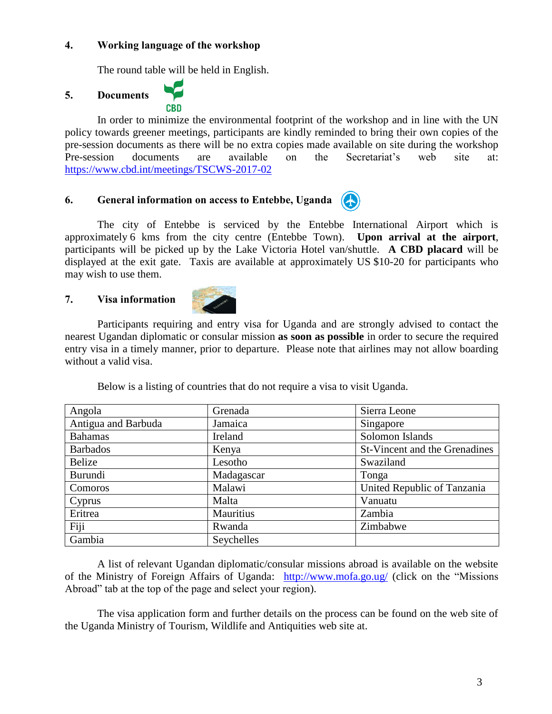#### **4. Working language of the workshop**

The round table will be held in English.

**CBD** 

# **5. Documents**

In order to minimize the environmental footprint of the workshop and in line with the UN policy towards greener meetings, participants are kindly reminded to bring their own copies of the pre-session documents as there will be no extra copies made available on site during the workshop Pre-session documents are available on the Secretariat's web site at: <https://www.cbd.int/meetings/TSCWS-2017-02>

#### **6. General information on access to Entebbe, Uganda**

The city of Entebbe is serviced by the Entebbe International Airport which is approximately 6 kms from the city centre (Entebbe Town). **Upon arrival at the airport**, participants will be picked up by the Lake Victoria Hotel van/shuttle. **A CBD placard** will be displayed at the exit gate. Taxis are available at approximately US \$10-20 for participants who may wish to use them.

#### <span id="page-2-0"></span>**7. Visa information**



Participants requiring and entry visa for Uganda and are strongly advised to contact the nearest Ugandan diplomatic or consular mission **as soon as possible** in order to secure the required entry visa in a timely manner, prior to departure. Please note that airlines may not allow boarding without a valid visa.

| Angola              | Grenada    | Sierra Leone                  |
|---------------------|------------|-------------------------------|
| Antigua and Barbuda | Jamaica    | Singapore                     |
| <b>Bahamas</b>      | Ireland    | Solomon Islands               |
| <b>Barbados</b>     | Kenya      | St-Vincent and the Grenadines |
| Belize              | Lesotho    | Swaziland                     |
| Burundi             | Madagascar | Tonga                         |
| Comoros             | Malawi     | United Republic of Tanzania   |
| Cyprus              | Malta      | Vanuatu                       |
| Eritrea             | Mauritius  | Zambia                        |
| Fiji                | Rwanda     | Zimbabwe                      |
| Gambia              | Seychelles |                               |

Below is a listing of countries that do not require a visa to visit Uganda.

A list of relevant Ugandan diplomatic/consular missions abroad is available on the website of the Ministry of Foreign Affairs of Uganda: <http://www.mofa.go.ug/> (click on the "Missions Abroad" tab at the top of the page and select your region).

The visa application form and further details on the process can be found on the web site of the Uganda Ministry of Tourism, Wildlife and Antiquities web site at.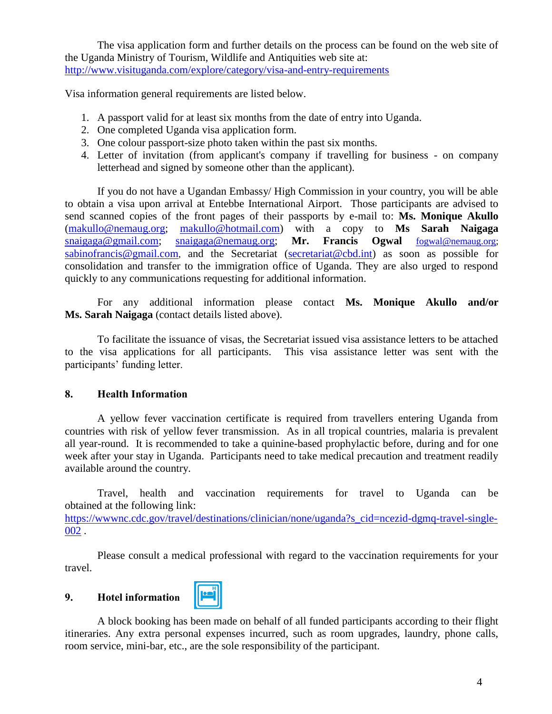The visa application form and further details on the process can be found on the web site of the Uganda Ministry of Tourism, Wildlife and Antiquities web site at: <http://www.visituganda.com/explore/category/visa-and-entry-requirements>

Visa information general requirements are listed below.

- 1. A passport valid for at least six months from the date of entry into Uganda.
- 2. One completed Uganda visa application form.
- 3. One colour passport-size photo taken within the past six months.
- 4. Letter of invitation (from applicant's company if travelling for business on company letterhead and signed by someone other than the applicant).

If you do not have a Ugandan Embassy/ High Commission in your country, you will be able to obtain a visa upon arrival at Entebbe International Airport. Those participants are advised to send scanned copies of the front pages of their passports by e-mail to: **Ms. Monique Akullo** [\(makullo@nemaug.org;](mailto:makullo@nemaug.org) [makullo@hotmail.com\)](mailto:makullo@hotmail.com) with a copy to **Ms Sarah Naigaga** [snaigaga@gmail.com;](mailto:snaigaga@gmail.com) [snaigaga@nemaug.org;](mailto:snaigaga@nemaug.org) **Mr. Francis Ogwal** [fogwal@nemaug.org;](mailto:fogwal@nemaug.org) sabinofrancis@gmail.com, and the Secretariat [\(secretariat@cbd.int\)](mailto:secretariat@cbd.int) as soon as possible for consolidation and transfer to the immigration office of Uganda. They are also urged to respond quickly to any communications requesting for additional information.

For any additional information please contact **Ms. Monique Akullo and/or Ms. Sarah Naigaga** (contact details listed above).

To facilitate the issuance of visas, the Secretariat issued visa assistance letters to be attached to the visa applications for all participants. This visa assistance letter was sent with the participants' funding letter.

# **8. Health Information**

A yellow fever vaccination certificate is required from travellers entering Uganda from countries with risk of yellow fever transmission. As in all tropical countries, malaria is prevalent all year-round. It is recommended to take a quinine-based prophylactic before, during and for one week after your stay in Uganda. Participants need to take medical precaution and treatment readily available around the country.

Travel, health and vaccination requirements for travel to Uganda can be obtained at the following link: [https://wwwnc.cdc.gov/travel/destinations/clinician/none/uganda?s\\_cid=ncezid-dgmq-travel-single-](https://wwwnc.cdc.gov/travel/destinations/clinician/none/uganda?s_cid=ncezid-dgmq-travel-single-002)[002](https://wwwnc.cdc.gov/travel/destinations/clinician/none/uganda?s_cid=ncezid-dgmq-travel-single-002) .

Please consult a medical professional with regard to the vaccination requirements for your travel.

#### <span id="page-3-0"></span>**9. Hotel information**

A block booking has been made on behalf of all funded participants according to their flight itineraries. Any extra personal expenses incurred, such as room upgrades, laundry, phone calls, room service, mini-bar, etc., are the sole responsibility of the participant.